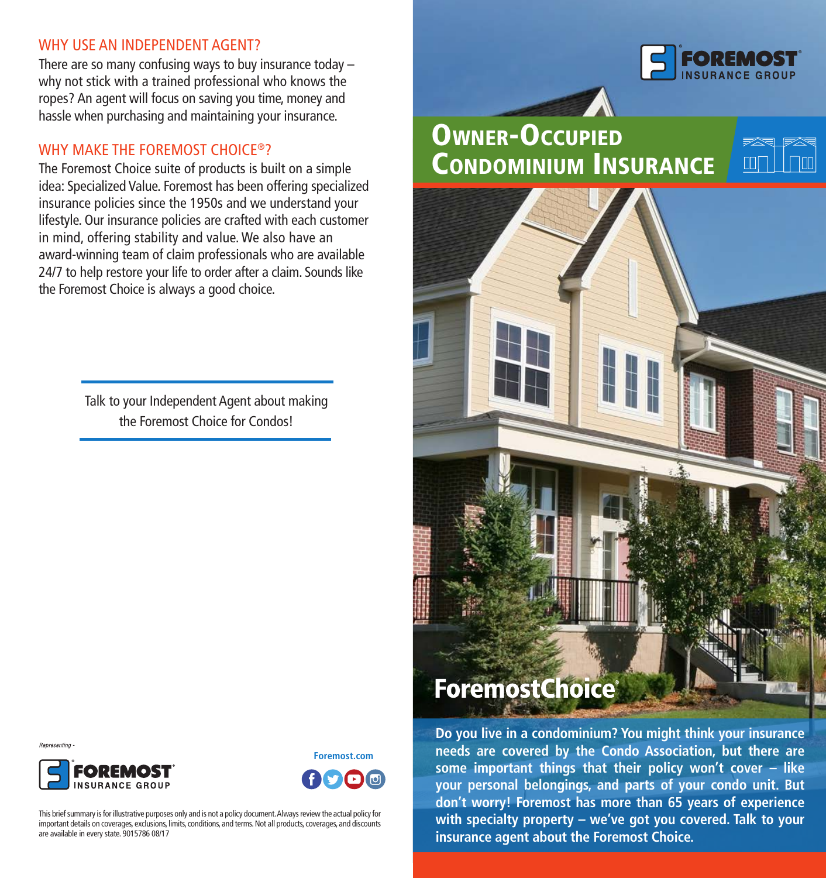#### WHY USE AN INDEPENDENT AGENT?

There are so many confusing ways to buy insurance today – why not stick with a trained professional who knows the ropes? An agent will focus on saving you time, money and hassle when purchasing and maintaining your insurance.

#### WHY MAKE THE FOREMOST CHOICE®?

The Foremost Choice suite of products is built on a simple idea: Specialized Value. Foremost has been offering specialized insurance policies since the 1950s and we understand your lifestyle. Our insurance policies are crafted with each customer in mind, offering stability and value. We also have an award-winning team of claim professionals who are available 24/7 to help restore your life to order after a claim. Sounds like the Foremost Choice is always a good choice.

> Talk to your Independent Agent about making the Foremost Choice for Condos!







This brief summary is for illustrative purposes only and is not a policy document. Always review the actual policy for important details on coverages, exclusions, limits, conditions, and terms. Not all products, coverages, and discounts are available in every state. 9015786 08/17



# Owner-Occupied Condominium INSURANCE



# **ForemostChoice®**

**Do you live in a condominium? You might think your insurance needs are covered by the Condo Association, but there are some important things that their policy won't cover – like your personal belongings, and parts of your condo unit. But don't worry! Foremost has more than 65 years of experience with specialty property – we've got you covered. Talk to your insurance agent about the Foremost Choice.**